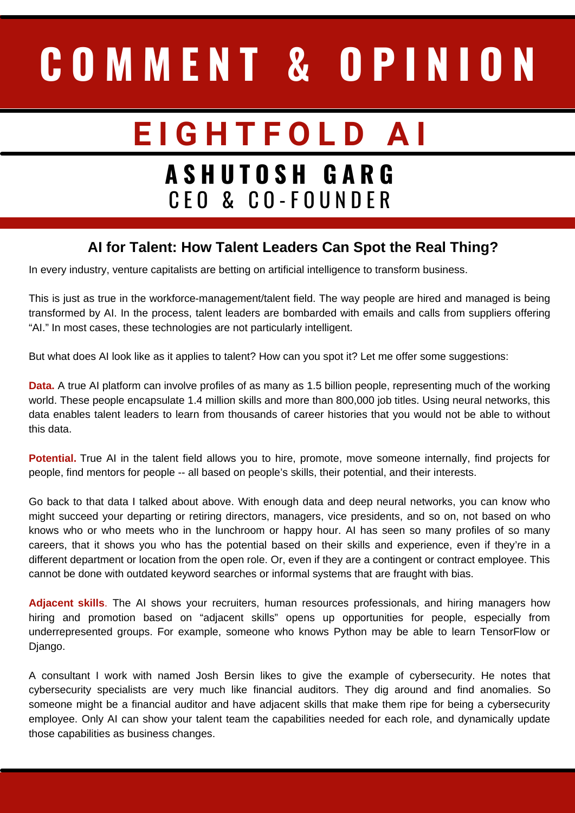## **C O M M E N T & O P I N I O N**

## **E I G H T F O L D A I**

## **A S H U T O S H G A R G** C E O & C O - F O U N D E R

## **AI for Talent: How Talent Leaders Can Spot the Real Thing?**

In [every](https://www.forbes.com/sites/tomtaulli/2021/09/17/ai-disruption--what-vcs-are-betting-on/?sh=ad2940877548) [industry](https://www.forbes.com/sites/tomtaulli/2021/09/17/ai-disruption--what-vcs-are-betting-on/?sh=ad2940877548), venture capitalists are betting on artificial intelligence to transform business.

This is just as true in the workforce-management/talent field. The way people are hired and managed is being transformed by AI. In the process, talent leaders are bombarded with emails and calls from suppliers offering "AI." In most cases, these technologies are not particularly intelligent.

But what does AI look like as it applies to talent? How can you spot it? Let me offer some suggestions:

**Data.** A true AI platform can involve profiles of as many as 1.5 billion people, representing much of the working world. These people encapsulate 1.4 million skills and more than 800,000 job titles. Using neural networks, this data enables talent leaders to learn from thousands of career histories that you would not be able to without this data.

**Potential.** True AI in the talent field allows you to hire, promote, move someone internally, find projects for people, find mentors for people -- all based on people's skills, their potential, and their interests.

Go back to that data I talked about above. With enough data and deep neural networks, you can know who might succeed your departing or retiring directors, managers, vice presidents, and so on, not based on who knows who or who meets who in the lunchroom or happy hour. AI has seen so many profiles of so many careers, that it shows you who has the potential based on their skills and experience, even if they're in a different department or location from the open role. Or, even if they are a [contingent](https://cultivate.eightfold.ai/agenda/session/533630) or contract employee. This cannot be done with outdated keyword searches or informal systems that are fraught with bias.

**Adjacent skills**. The AI shows your recruiters, human resources professionals, and hiring managers how hiring and promotion based on "adjacent skills" opens up opportunities for people, especially from [underrepresented](https://eightfold.ai/blog/adjacent-skills/) groups. For example, someone who knows Python may be able to learn TensorFlow or Django.

A consultant I work with named Josh [Bersin](https://cultivate.eightfold.ai/agenda/session/533616) likes to give the example of cybersecurity. He notes that cybersecurity specialists are very much like financial auditors. They dig around and find anomalies. So someone might be a financial auditor and have adjacent skills that make them ripe for being a cybersecurity employee. Only AI can show your talent team the capabilities needed for each role, and dynamically update those capabilities as business changes.